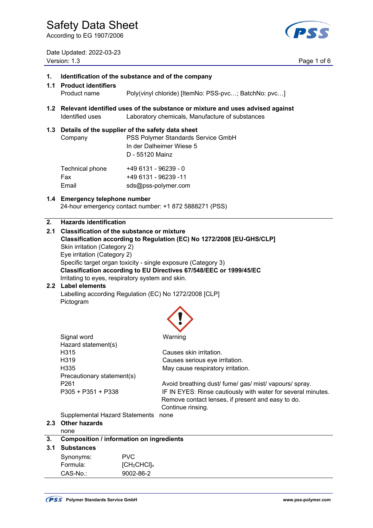According to EG 1907/2006

PSS

Date Updated: 2022-03-23 Version: 1.3 Page 1 of 6

| 3.1                                                                                           | <b>Substances</b>                                                                                                                                       |                                                                                                                                        |  |  |
|-----------------------------------------------------------------------------------------------|---------------------------------------------------------------------------------------------------------------------------------------------------------|----------------------------------------------------------------------------------------------------------------------------------------|--|--|
| 3.                                                                                            | <b>Composition / information on ingredients</b>                                                                                                         |                                                                                                                                        |  |  |
|                                                                                               | none                                                                                                                                                    |                                                                                                                                        |  |  |
| 2.3                                                                                           | <b>Other hazards</b>                                                                                                                                    |                                                                                                                                        |  |  |
|                                                                                               | <b>Supplemental Hazard Statements</b>                                                                                                                   | none                                                                                                                                   |  |  |
|                                                                                               | P305 + P351 + P338                                                                                                                                      | IF IN EYES: Rinse cautiously with water for several minutes.<br>Remove contact lenses, if present and easy to do.<br>Continue rinsing. |  |  |
|                                                                                               | P261                                                                                                                                                    | Avoid breathing dust/ fume/ gas/ mist/ vapours/ spray.                                                                                 |  |  |
|                                                                                               | Precautionary statement(s)                                                                                                                              |                                                                                                                                        |  |  |
|                                                                                               | H335                                                                                                                                                    | May cause respiratory irritation.                                                                                                      |  |  |
|                                                                                               | H319                                                                                                                                                    | Causes serious eye irritation.                                                                                                         |  |  |
|                                                                                               | H315                                                                                                                                                    | Causes skin irritation.                                                                                                                |  |  |
|                                                                                               | Signal word<br>Hazard statement(s)                                                                                                                      | Warning                                                                                                                                |  |  |
|                                                                                               |                                                                                                                                                         |                                                                                                                                        |  |  |
|                                                                                               | Pictogram                                                                                                                                               |                                                                                                                                        |  |  |
|                                                                                               |                                                                                                                                                         | Labelling according Regulation (EC) No 1272/2008 [CLP]                                                                                 |  |  |
|                                                                                               | Irritating to eyes, respiratory system and skin.<br>2.2 Label elements                                                                                  |                                                                                                                                        |  |  |
|                                                                                               |                                                                                                                                                         | Classification according to EU Directives 67/548/EEC or 1999/45/EC                                                                     |  |  |
|                                                                                               |                                                                                                                                                         | Specific target organ toxicity - single exposure (Category 3)                                                                          |  |  |
|                                                                                               | Eye irritation (Category 2)                                                                                                                             |                                                                                                                                        |  |  |
|                                                                                               | Skin irritation (Category 2)                                                                                                                            | Classification according to Regulation (EC) No 1272/2008 [EU-GHS/CLP]                                                                  |  |  |
| $2.1\,$                                                                                       |                                                                                                                                                         | <b>Classification of the substance or mixture</b>                                                                                      |  |  |
| 2.                                                                                            | <b>Hazards identification</b>                                                                                                                           |                                                                                                                                        |  |  |
|                                                                                               | 1.4 Emergency telephone number                                                                                                                          | 24-hour emergency contact number: +1 872 5888271 (PSS)                                                                                 |  |  |
|                                                                                               |                                                                                                                                                         |                                                                                                                                        |  |  |
|                                                                                               | Fax<br>Email                                                                                                                                            | +49 6131 - 96239 -11<br>sds@pss-polymer.com                                                                                            |  |  |
|                                                                                               | Technical phone                                                                                                                                         | +49 6131 - 96239 - 0                                                                                                                   |  |  |
|                                                                                               |                                                                                                                                                         |                                                                                                                                        |  |  |
|                                                                                               |                                                                                                                                                         | D - 55120 Mainz                                                                                                                        |  |  |
|                                                                                               | Company                                                                                                                                                 | PSS Polymer Standards Service GmbH<br>In der Dalheimer Wiese 5                                                                         |  |  |
|                                                                                               |                                                                                                                                                         | 1.3 Details of the supplier of the safety data sheet                                                                                   |  |  |
|                                                                                               | 1.2 Relevant identified uses of the substance or mixture and uses advised against<br>Identified uses<br>Laboratory chemicals, Manufacture of substances |                                                                                                                                        |  |  |
|                                                                                               | Product name                                                                                                                                            | Poly(vinyl chloride) [ItemNo: PSS-pvc; BatchNo: pvc]                                                                                   |  |  |
| 1.<br>Identification of the substance and of the company<br>1.1<br><b>Product identifiers</b> |                                                                                                                                                         |                                                                                                                                        |  |  |
|                                                                                               |                                                                                                                                                         |                                                                                                                                        |  |  |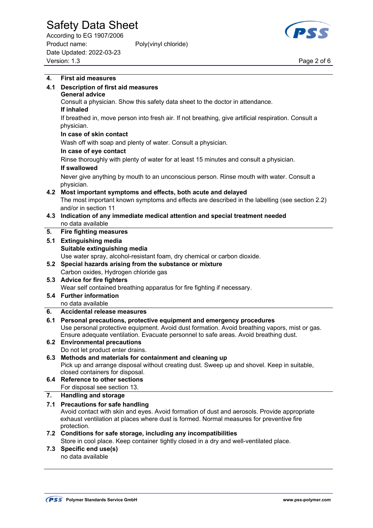According to EG 1907/2006 Product name: Poly(vinyl chloride) Date Updated: 2022-03-23 Version: 1.3 Page 2 of 6



| 4.  | <b>First aid measures</b>                                                                                                           |
|-----|-------------------------------------------------------------------------------------------------------------------------------------|
| 4.1 | <b>Description of first aid measures</b>                                                                                            |
|     | <b>General advice</b>                                                                                                               |
|     | Consult a physician. Show this safety data sheet to the doctor in attendance.                                                       |
|     | If inhaled                                                                                                                          |
|     | If breathed in, move person into fresh air. If not breathing, give artificial respiration. Consult a                                |
|     | physician.                                                                                                                          |
|     | In case of skin contact                                                                                                             |
|     | Wash off with soap and plenty of water. Consult a physician.                                                                        |
|     | In case of eye contact                                                                                                              |
|     | Rinse thoroughly with plenty of water for at least 15 minutes and consult a physician.                                              |
|     | If swallowed                                                                                                                        |
|     | Never give anything by mouth to an unconscious person. Rinse mouth with water. Consult a                                            |
|     | physician.                                                                                                                          |
|     | 4.2 Most important symptoms and effects, both acute and delayed                                                                     |
|     | The most important known symptoms and effects are described in the labelling (see section 2.2)                                      |
|     | and/or in section 11                                                                                                                |
|     | 4.3 Indication of any immediate medical attention and special treatment needed                                                      |
|     | no data available                                                                                                                   |
| 5.  | <b>Fire fighting measures</b>                                                                                                       |
| 5.1 | <b>Extinguishing media</b>                                                                                                          |
|     | Suitable extinguishing media                                                                                                        |
|     | Use water spray, alcohol-resistant foam, dry chemical or carbon dioxide.                                                            |
|     | 5.2 Special hazards arising from the substance or mixture                                                                           |
|     | Carbon oxides, Hydrogen chloride gas                                                                                                |
|     | 5.3 Advice for fire fighters                                                                                                        |
|     | Wear self contained breathing apparatus for fire fighting if necessary.<br>5.4 Further information                                  |
|     | no data available                                                                                                                   |
| 6.  | <b>Accidental release measures</b>                                                                                                  |
| 6.1 | Personal precautions, protective equipment and emergency procedures                                                                 |
|     | Use personal protective equipment. Avoid dust formation. Avoid breathing vapors, mist or gas.                                       |
|     | Ensure adequate ventilation. Evacuate personnel to safe areas. Avoid breathing dust.                                                |
| 6.2 | <b>Environmental precautions</b>                                                                                                    |
|     | Do not let product enter drains.                                                                                                    |
|     | 6.3 Methods and materials for containment and cleaning up                                                                           |
|     | Pick up and arrange disposal without creating dust. Sweep up and shovel. Keep in suitable,                                          |
|     | closed containers for disposal.                                                                                                     |
|     | 6.4 Reference to other sections                                                                                                     |
|     | For disposal see section 13.                                                                                                        |
| 7.  | <b>Handling and storage</b>                                                                                                         |
| 7.1 | <b>Precautions for safe handling</b><br>Avoid contact with skin and eyes. Avoid formation of dust and aerosols. Provide appropriate |
|     | exhaust ventilation at places where dust is formed. Normal measures for preventive fire                                             |
|     | protection.                                                                                                                         |
|     | 7.2 Conditions for safe storage, including any incompatibilities                                                                    |
|     | Store in cool place. Keep container tightly closed in a dry and well-ventilated place.                                              |
|     | 7.3 Specific end use(s)                                                                                                             |
|     | no data available                                                                                                                   |
|     |                                                                                                                                     |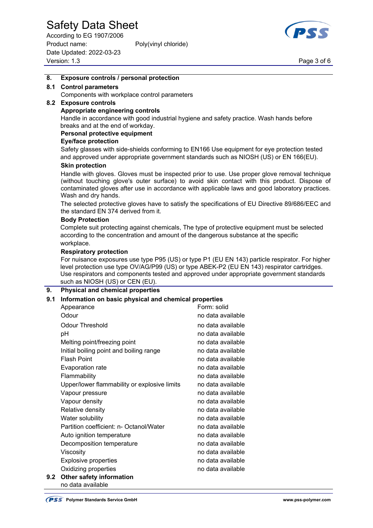According to EG 1907/2006 Product name: Poly(vinyl chloride) Date Updated: 2022-03-23 Version: 1.3 Page 3 of 6



### **8. Exposure controls / personal protection**

### **8.1 Control parameters**

Components with workplace control parameters

## **8.2 Exposure controls**

#### **Appropriate engineering controls**

 Handle in accordance with good industrial hygiene and safety practice. Wash hands before breaks and at the end of workday.

### **Personal protective equipment**

#### **Eye/face protection**

 Safety glasses with side-shields conforming to EN166 Use equipment for eye protection tested and approved under appropriate government standards such as NIOSH (US) or EN 166(EU).

#### **Skin protection**

 Handle with gloves. Gloves must be inspected prior to use. Use proper glove removal technique (without touching glove's outer surface) to avoid skin contact with this product. Dispose of contaminated gloves after use in accordance with applicable laws and good laboratory practices. Wash and dry hands.

 The selected protective gloves have to satisfy the specifications of EU Directive 89/686/EEC and the standard EN 374 derived from it.

#### **Body Protection**

 Complete suit protecting against chemicals, The type of protective equipment must be selected according to the concentration and amount of the dangerous substance at the specific workplace.

#### **Respiratory protection**

 For nuisance exposures use type P95 (US) or type P1 (EU EN 143) particle respirator. For higher level protection use type OV/AG/P99 (US) or type ABEK-P2 (EU EN 143) respirator cartridges. Use respirators and components tested and approved under appropriate government standards such as NIOSH (US) or CEN (EU).

### **9. Physical and chemical properties**

### **9.1 Information on basic physical and chemical properties**

|     | Appearance                                   | Form: solid       |
|-----|----------------------------------------------|-------------------|
|     | Odour                                        | no data available |
|     | <b>Odour Threshold</b>                       | no data available |
|     | рH                                           | no data available |
|     | Melting point/freezing point                 | no data available |
|     | Initial boiling point and boiling range      | no data available |
|     | <b>Flash Point</b>                           | no data available |
|     | <b>Evaporation rate</b>                      | no data available |
|     | Flammability                                 | no data available |
|     | Upper/lower flammability or explosive limits | no data available |
|     | Vapour pressure                              | no data available |
|     | Vapour density                               | no data available |
|     | Relative density                             | no data available |
|     | Water solubility                             | no data available |
|     | Partition coefficient: n- Octanol/Water      | no data available |
|     | Auto ignition temperature                    | no data available |
|     | Decomposition temperature                    | no data available |
|     | Viscosity                                    | no data available |
|     | <b>Explosive properties</b>                  | no data available |
|     | Oxidizing properties                         | no data available |
| 9.2 | Other safety information                     |                   |

no data available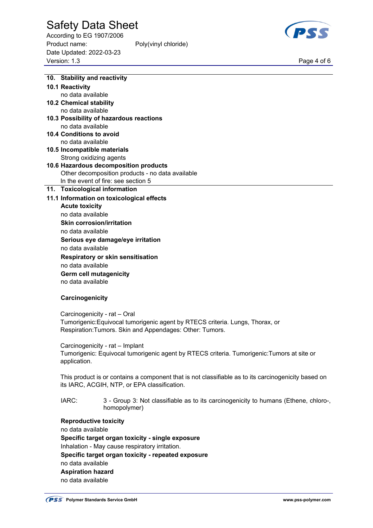According to EG 1907/2006 Product name: Poly(vinyl chloride) Date Updated: 2022-03-23 Page 4 of 6<br>Version: 1.3 Page 4 of 6



|  | 10. Stability and reactivity                                                                                                                                                                                                       |                                                                                                     |
|--|------------------------------------------------------------------------------------------------------------------------------------------------------------------------------------------------------------------------------------|-----------------------------------------------------------------------------------------------------|
|  | 10.1 Reactivity                                                                                                                                                                                                                    |                                                                                                     |
|  | no data available                                                                                                                                                                                                                  |                                                                                                     |
|  | <b>10.2 Chemical stability</b>                                                                                                                                                                                                     |                                                                                                     |
|  | no data available                                                                                                                                                                                                                  |                                                                                                     |
|  |                                                                                                                                                                                                                                    | 10.3 Possibility of hazardous reactions                                                             |
|  | no data available                                                                                                                                                                                                                  |                                                                                                     |
|  | 10.4 Conditions to avoid                                                                                                                                                                                                           |                                                                                                     |
|  | no data available                                                                                                                                                                                                                  |                                                                                                     |
|  | 10.5 Incompatible materials                                                                                                                                                                                                        |                                                                                                     |
|  | Strong oxidizing agents                                                                                                                                                                                                            |                                                                                                     |
|  |                                                                                                                                                                                                                                    | 10.6 Hazardous decomposition products                                                               |
|  |                                                                                                                                                                                                                                    | Other decomposition products - no data available                                                    |
|  |                                                                                                                                                                                                                                    | In the event of fire: see section 5                                                                 |
|  | 11. Toxicological information                                                                                                                                                                                                      |                                                                                                     |
|  |                                                                                                                                                                                                                                    | 11.1 Information on toxicological effects                                                           |
|  | <b>Acute toxicity</b>                                                                                                                                                                                                              |                                                                                                     |
|  | no data available                                                                                                                                                                                                                  |                                                                                                     |
|  | <b>Skin corrosion/irritation</b>                                                                                                                                                                                                   |                                                                                                     |
|  | no data available                                                                                                                                                                                                                  |                                                                                                     |
|  |                                                                                                                                                                                                                                    | Serious eye damage/eye irritation                                                                   |
|  | no data available                                                                                                                                                                                                                  |                                                                                                     |
|  | Respiratory or skin sensitisation                                                                                                                                                                                                  |                                                                                                     |
|  | no data available                                                                                                                                                                                                                  |                                                                                                     |
|  | <b>Germ cell mutagenicity</b>                                                                                                                                                                                                      |                                                                                                     |
|  | no data available                                                                                                                                                                                                                  |                                                                                                     |
|  |                                                                                                                                                                                                                                    |                                                                                                     |
|  | Carcinogenicity                                                                                                                                                                                                                    |                                                                                                     |
|  |                                                                                                                                                                                                                                    |                                                                                                     |
|  | Carcinogenicity - rat - Oral                                                                                                                                                                                                       |                                                                                                     |
|  |                                                                                                                                                                                                                                    | Tumorigenic: Equivocal tumorigenic agent by RTECS criteria. Lungs, Thorax, or                       |
|  | Respiration: Tumors. Skin and Appendages: Other: Tumors.                                                                                                                                                                           |                                                                                                     |
|  |                                                                                                                                                                                                                                    |                                                                                                     |
|  | Carcinogenicity - rat - Implant                                                                                                                                                                                                    |                                                                                                     |
|  |                                                                                                                                                                                                                                    | Tumorigenic: Equivocal tumorigenic agent by RTECS criteria. Tumorigenic:Tumors at site or           |
|  | application.                                                                                                                                                                                                                       |                                                                                                     |
|  |                                                                                                                                                                                                                                    |                                                                                                     |
|  |                                                                                                                                                                                                                                    | This product is or contains a component that is not classifiable as to its carcinogenicity based on |
|  |                                                                                                                                                                                                                                    | its IARC, ACGIH, NTP, or EPA classification.                                                        |
|  |                                                                                                                                                                                                                                    |                                                                                                     |
|  | IARC:                                                                                                                                                                                                                              | 3 - Group 3: Not classifiable as to its carcinogenicity to humans (Ethene, chloro-,                 |
|  |                                                                                                                                                                                                                                    | homopolymer)                                                                                        |
|  |                                                                                                                                                                                                                                    |                                                                                                     |
|  | <b>Reproductive toxicity</b><br>no data available<br>Specific target organ toxicity - single exposure<br>Inhalation - May cause respiratory irritation.<br>Specific target organ toxicity - repeated exposure<br>no data available |                                                                                                     |
|  |                                                                                                                                                                                                                                    |                                                                                                     |
|  |                                                                                                                                                                                                                                    |                                                                                                     |
|  |                                                                                                                                                                                                                                    |                                                                                                     |
|  |                                                                                                                                                                                                                                    |                                                                                                     |
|  |                                                                                                                                                                                                                                    |                                                                                                     |
|  | <b>Aspiration hazard</b>                                                                                                                                                                                                           |                                                                                                     |

no data available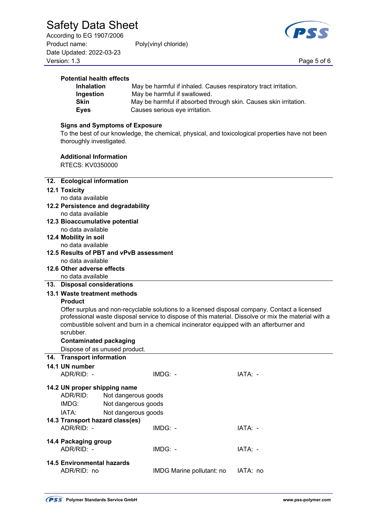**Potential health effects** 

According to EG 1907/2006 Product name: Poly(vinyl chloride) Date Updated: 2022-03-23 Page 5 of 6<br>Version: 1.3 Page 5 of 6

 **Ingestion** May be harmful if swallowed.



| <b>Skin</b>                                                                                      | May be harmful if absorbed through skin. Causes skin irritation.                                     |          |
|--------------------------------------------------------------------------------------------------|------------------------------------------------------------------------------------------------------|----------|
| <b>Eyes</b>                                                                                      | Causes serious eye irritation.                                                                       |          |
|                                                                                                  |                                                                                                      |          |
| <b>Signs and Symptoms of Exposure</b>                                                            |                                                                                                      |          |
| To the best of our knowledge, the chemical, physical, and toxicological properties have not been |                                                                                                      |          |
| thoroughly investigated.                                                                         |                                                                                                      |          |
| <b>Additional Information</b>                                                                    |                                                                                                      |          |
| RTECS: KV0350000                                                                                 |                                                                                                      |          |
|                                                                                                  |                                                                                                      |          |
| 12. Ecological information                                                                       |                                                                                                      |          |
| <b>12.1 Toxicity</b>                                                                             |                                                                                                      |          |
| no data available                                                                                |                                                                                                      |          |
| 12.2 Persistence and degradability                                                               |                                                                                                      |          |
| no data available                                                                                |                                                                                                      |          |
| 12.3 Bioaccumulative potential                                                                   |                                                                                                      |          |
| no data available                                                                                |                                                                                                      |          |
| 12.4 Mobility in soil                                                                            |                                                                                                      |          |
| no data available                                                                                |                                                                                                      |          |
| 12.5 Results of PBT and vPvB assessment                                                          |                                                                                                      |          |
| no data available                                                                                |                                                                                                      |          |
| 12.6 Other adverse effects                                                                       |                                                                                                      |          |
| no data available                                                                                |                                                                                                      |          |
| 13. Disposal considerations                                                                      |                                                                                                      |          |
| 13.1 Waste treatment methods                                                                     |                                                                                                      |          |
| <b>Product</b>                                                                                   |                                                                                                      |          |
|                                                                                                  | Offer surplus and non-recyclable solutions to a licensed disposal company. Contact a licensed        |          |
|                                                                                                  | professional waste disposal service to dispose of this material. Dissolve or mix the material with a |          |
|                                                                                                  | combustible solvent and burn in a chemical incinerator equipped with an afterburner and              |          |
| scrubber.                                                                                        |                                                                                                      |          |
| <b>Contaminated packaging</b>                                                                    |                                                                                                      |          |
| Dispose of as unused product.                                                                    |                                                                                                      |          |
| 14. Transport information                                                                        |                                                                                                      |          |
| 14.1 UN number                                                                                   |                                                                                                      |          |
| ADR/RID: -                                                                                       | IMDG: -                                                                                              | IATA: -  |
|                                                                                                  |                                                                                                      |          |
| 14.2 UN proper shipping name                                                                     |                                                                                                      |          |
| ADR/RID:                                                                                         | Not dangerous goods                                                                                  |          |
| IMDG:                                                                                            | Not dangerous goods                                                                                  |          |
| IATA:                                                                                            | Not dangerous goods                                                                                  |          |
| 14.3 Transport hazard class(es)                                                                  |                                                                                                      |          |
| ADR/RID: -                                                                                       | IMDG: -                                                                                              | IATA: -  |
| 14.4 Packaging group                                                                             |                                                                                                      |          |
| ADR/RID: -                                                                                       | IMDG: -                                                                                              | IATA: -  |
|                                                                                                  |                                                                                                      |          |
| <b>14.5 Environmental hazards</b>                                                                |                                                                                                      |          |
| ADR/RID: no                                                                                      | IMDG Marine pollutant: no                                                                            | IATA: no |

 **Inhalation** May be harmful if inhaled. Causes respiratory tract irritation.